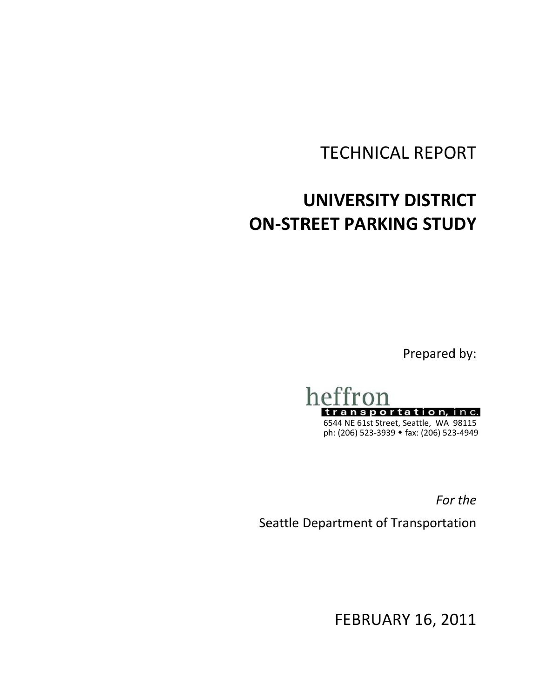# **TECHNICAL REPORT**

# UNIVERSITY DISTRICT **ON-STREET PARKING STUDY**

Prepared by:



6544 NE 61st Street, Seattle, WA 98115<br>ph: (206) 523-3939 • fax: (206) 523-4949

For the

Seattle Department of Transportation

**FEBRUARY 16, 2011**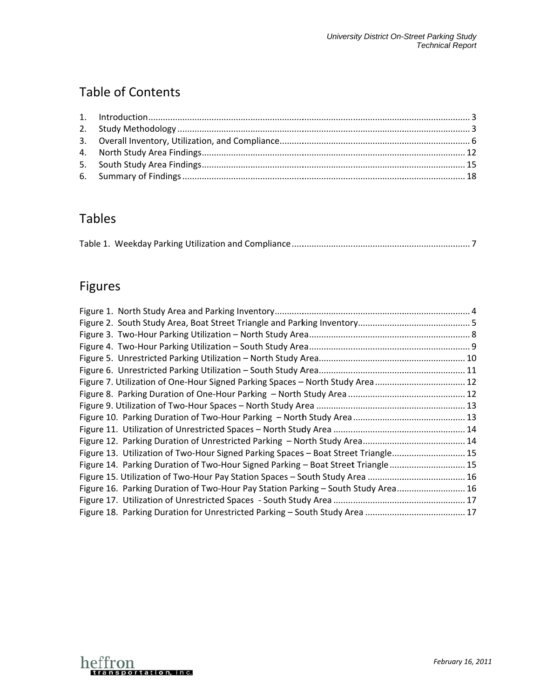# **Table of Contents**

# **Tables**

|--|

# Figures

| Figure 7. Utilization of One-Hour Signed Parking Spaces - North Study Area 12      |  |
|------------------------------------------------------------------------------------|--|
|                                                                                    |  |
|                                                                                    |  |
|                                                                                    |  |
|                                                                                    |  |
|                                                                                    |  |
| Figure 13. Utilization of Two-Hour Signed Parking Spaces - Boat Street Triangle 15 |  |
| Figure 14. Parking Duration of Two-Hour Signed Parking - Boat Street Triangle 15   |  |
|                                                                                    |  |
| Figure 16. Parking Duration of Two-Hour Pay Station Parking - South Study Area 16  |  |
|                                                                                    |  |
|                                                                                    |  |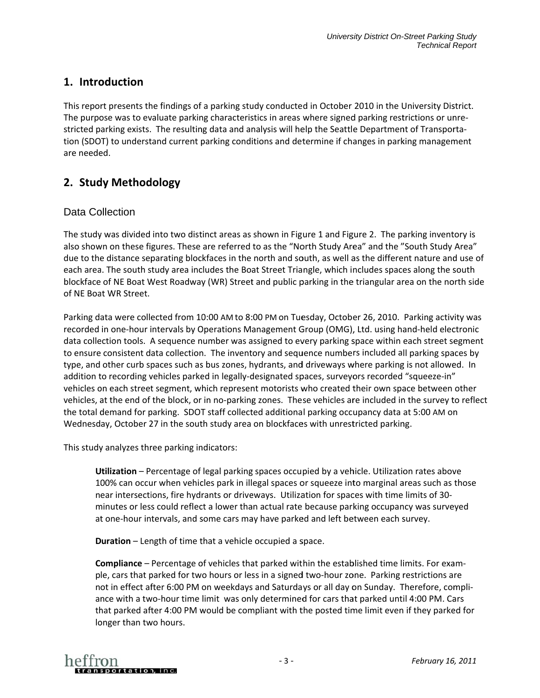# 1. Introduction

This report presents the findings of a parking study conducted in October 2010 in the University District. The purpose was to evaluate parking characteristics in areas where signed parking restrictions or unrestricted parking exists. The resulting data and analysis will help the Seattle Department of Transportation (SDOT) to understand current parking conditions and determine if changes in parking management are needed.

# 2. Study Methodology

#### Data Collection

The study was divided into two distinct areas as shown in Figure 1 and Figure 2. The parking inventory is also shown on these figures. These are referred to as the "North Study Area" and the "South Study Area" due to the distance separating blockfaces in the north and south, as well as the different nature and use of each area. The south study area includes the Boat Street Triangle, which includes spaces along the south blockface of NE Boat West Roadway (WR) Street and public parking in the triangular area on the north side of NF Boat WR Street.

Parking data were collected from 10:00 AM to 8:00 PM on Tuesday, October 26, 2010. Parking activity was recorded in one-hour intervals by Operations Management Group (OMG), Ltd. using hand-held electronic data collection tools. A sequence number was assigned to every parking space within each street segment to ensure consistent data collection. The inventory and sequence numbers included all parking spaces by type, and other curb spaces such as bus zones, hydrants, and driveways where parking is not allowed. In addition to recording vehicles parked in legally-designated spaces, surveyors recorded "squeeze-in" vehicles on each street segment, which represent motorists who created their own space between other vehicles, at the end of the block, or in no-parking zones. These vehicles are included in the survey to reflect the total demand for parking. SDOT staff collected additional parking occupancy data at 5:00 AM on Wednesday, October 27 in the south study area on blockfaces with unrestricted parking.

This study analyzes three parking indicators:

Utilization - Percentage of legal parking spaces occupied by a vehicle. Utilization rates above 100% can occur when vehicles park in illegal spaces or squeeze into marginal areas such as those near intersections, fire hydrants or driveways. Utilization for spaces with time limits of 30minutes or less could reflect a lower than actual rate because parking occupancy was surveyed at one-hour intervals, and some cars may have parked and left between each survey.

**Duration** – Length of time that a vehicle occupied a space.

**Compliance** – Percentage of vehicles that parked within the established time limits. For example, cars that parked for two hours or less in a signed two-hour zone. Parking restrictions are not in effect after 6:00 PM on weekdays and Saturdays or all day on Sunday. Therefore, compliance with a two-hour time limit was only determined for cars that parked until 4:00 PM. Cars that parked after 4:00 PM would be compliant with the posted time limit even if they parked for longer than two hours.

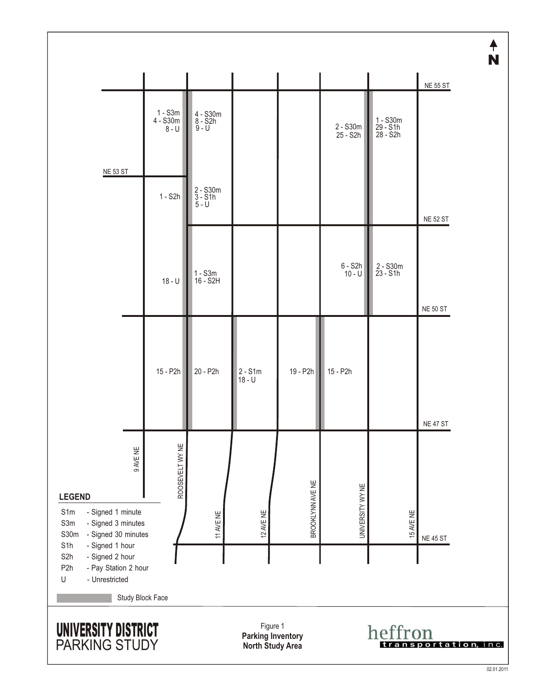|                                                                                                                                                                                                                                                        |                                  |                                    |           |                  |                      |                                    | N               |
|--------------------------------------------------------------------------------------------------------------------------------------------------------------------------------------------------------------------------------------------------------|----------------------------------|------------------------------------|-----------|------------------|----------------------|------------------------------------|-----------------|
|                                                                                                                                                                                                                                                        |                                  |                                    |           |                  |                      |                                    | <b>NE 55 ST</b> |
|                                                                                                                                                                                                                                                        | $1 - S3m$<br>4 - S30m<br>$8 - U$ | 4 - S30m<br>8 - S2h<br>$9 - U$     |           |                  | 2 - S30m<br>25 - S2h | 1 - S30m<br>29 - S1h<br>$28 - 52h$ |                 |
| <b>NE 53 ST</b>                                                                                                                                                                                                                                        |                                  |                                    |           |                  |                      |                                    |                 |
|                                                                                                                                                                                                                                                        | $1 - S2h$                        | $2 - S30m$<br>$3 - S1h$<br>$5 - U$ |           |                  |                      |                                    | <b>NE 52 ST</b> |
|                                                                                                                                                                                                                                                        |                                  |                                    |           |                  |                      |                                    |                 |
|                                                                                                                                                                                                                                                        | $18 - U$                         | $1 - S3m$<br>16 - S2H              |           |                  | 6 - S2h<br>10 - U    | 2 - S30m<br>23 - S1h               |                 |
|                                                                                                                                                                                                                                                        |                                  |                                    |           |                  |                      |                                    | <b>NE 50 ST</b> |
|                                                                                                                                                                                                                                                        | 15 - P2h                         | 20 - P2h                           | $2 - S1m$ | 19 - P2h         | 15 - P2h             |                                    |                 |
|                                                                                                                                                                                                                                                        |                                  |                                    | $18 - U$  |                  |                      |                                    |                 |
|                                                                                                                                                                                                                                                        |                                  |                                    |           |                  |                      |                                    | <b>NE 47 ST</b> |
| 9 AVE NE                                                                                                                                                                                                                                               | ROOSEVELT WY NE                  |                                    |           |                  |                      |                                    |                 |
| <b>LEGEND</b>                                                                                                                                                                                                                                          |                                  |                                    |           | BROOKLYNN AVE NE |                      |                                    |                 |
| - Signed 1 minute<br>S1m<br>S3m<br>- Signed 3 minutes<br>S30m<br>- Signed 30 minutes                                                                                                                                                                   |                                  | 11 AVE NE                          | 12 AVE NE |                  | UNIVERSITY WY NE     | 15 AVE NE                          | <b>NE 45 ST</b> |
| - Signed 1 hour<br>S <sub>1</sub> h<br>S <sub>2</sub> h<br>- Signed 2 hour<br>P <sub>2</sub> h<br>- Pay Station 2 hour<br>$\mathsf{U}% _{T}=\mathsf{U}_{T}\!\left( a,b\right) ,\ \mathsf{U}_{T}=\mathsf{U}_{T}\!\left( a,b\right) ,$<br>- Unrestricted |                                  |                                    |           |                  |                      |                                    |                 |
|                                                                                                                                                                                                                                                        | Study Block Face                 |                                    |           |                  |                      |                                    |                 |
| Figure 1<br>UNIVERSITY DISTRICT<br>heffron<br><b>Parking Inventory</b><br>PARKING STUDY<br>North Study Area<br>tation,<br>n c.                                                                                                                         |                                  |                                    |           |                  |                      |                                    |                 |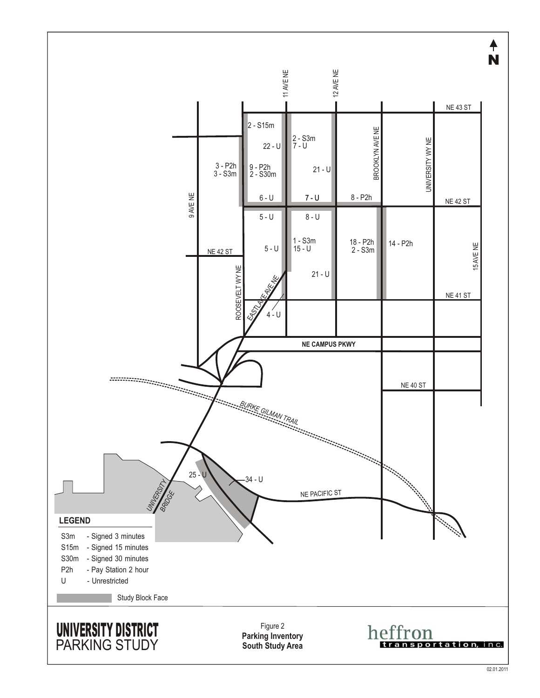

02.01.2011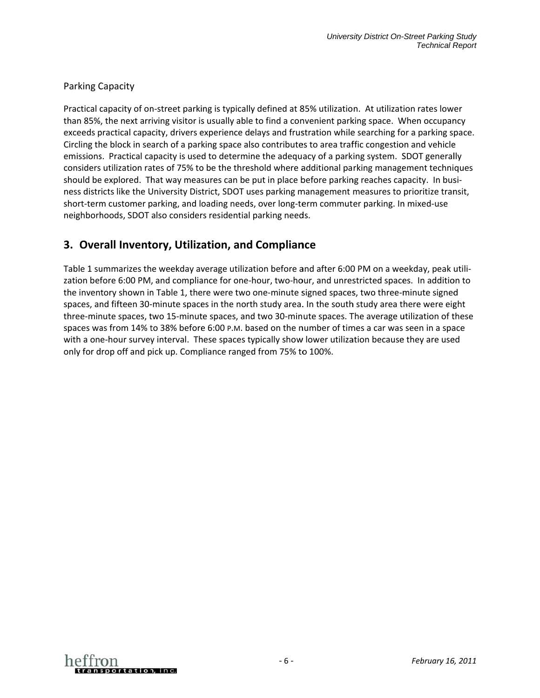#### **Parking Capacity**

Practical capacity of on-street parking is typically defined at 85% utilization. At utilization rates lower than 85%, the next arriving visitor is usually able to find a convenient parking space. When occupancy exceeds practical capacity, drivers experience delays and frustration while searching for a parking space. Circling the block in search of a parking space also contributes to area traffic congestion and vehicle emissions. Practical capacity is used to determine the adequacy of a parking system. SDOT generally considers utilization rates of 75% to be the threshold where additional parking management techniques should be explored. That way measures can be put in place before parking reaches capacity. In business districts like the University District, SDOT uses parking management measures to prioritize transit, short-term customer parking, and loading needs, over long-term commuter parking. In mixed-use neighborhoods, SDOT also considers residential parking needs.

# 3. Overall Inventory, Utilization, and Compliance

Table 1 summarizes the weekday average utilization before and after 6:00 PM on a weekday, peak utilization before 6:00 PM, and compliance for one-hour, two-hour, and unrestricted spaces. In addition to the inventory shown in Table 1, there were two one-minute signed spaces, two three-minute signed spaces, and fifteen 30-minute spaces in the north study area. In the south study area there were eight three-minute spaces, two 15-minute spaces, and two 30-minute spaces. The average utilization of these spaces was from 14% to 38% before 6:00 p.m. based on the number of times a car was seen in a space with a one-hour survey interval. These spaces typically show lower utilization because they are used only for drop off and pick up. Compliance ranged from 75% to 100%.

![](_page_5_Picture_5.jpeg)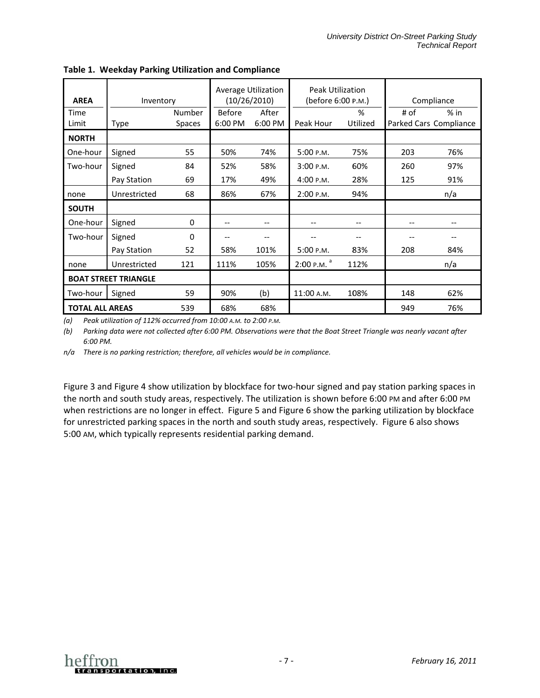|                        |                             |               | Average Utilization |         | Peak Utilization   |          |            |                        |
|------------------------|-----------------------------|---------------|---------------------|---------|--------------------|----------|------------|------------------------|
| <b>AREA</b>            | Inventory                   |               | (10/26/2010)        |         | (before 6:00 P.M.) |          | Compliance |                        |
| Time                   |                             | Number        | <b>Before</b>       | After   |                    | %        | # of       | $%$ in                 |
| Limit                  | Type                        | <b>Spaces</b> | 6:00 PM             | 6:00 PM | Peak Hour          | Utilized |            | Parked Cars Compliance |
| <b>NORTH</b>           |                             |               |                     |         |                    |          |            |                        |
| One-hour               | Signed                      | 55            | 50%                 | 74%     | 5:00 P.M.          | 75%      | 203        | 76%                    |
| Two-hour               | Signed                      | 84            | 52%                 | 58%     | 3:00 P.M.          | 60%      | 260        | 97%                    |
|                        | Pay Station                 | 69            | 17%                 | 49%     | 4:00 P.M.          | 28%      | 125        | 91%                    |
| none                   | Unrestricted                | 68            | 86%                 | 67%     | 2:00 P.M.          | 94%      |            | n/a                    |
| <b>SOUTH</b>           |                             |               |                     |         |                    |          |            |                        |
| One-hour               | Signed                      | 0             | --                  | --      |                    |          |            |                        |
| Two-hour               | Signed                      | $\Omega$      |                     | --      |                    |          |            |                        |
|                        | Pay Station                 | 52            | 58%                 | 101%    | 5:00 P.M.          | 83%      | 208        | 84%                    |
| none                   | Unrestricted                | 121           | 111%                | 105%    | $2:00$ P.M. $a$    | 112%     |            | n/a                    |
|                        | <b>BOAT STREET TRIANGLE</b> |               |                     |         |                    |          |            |                        |
| Two-hour               | Signed                      | 59            | 90%                 | (b)     | 11:00 A.M.         | 108%     | 148        | 62%                    |
| <b>TOTAL ALL AREAS</b> |                             | 539           | 68%                 | 68%     |                    |          | 949        | 76%                    |

Table 1. Weekday Parking Utilization and Compliance

(a) Peak utilization of 112% occurred from 10:00 A.M. to 2:00 P.M.

(b) Parking data were not collected after 6:00 PM. Observations were that the Boat Street Triangle was nearly vacant after 6:00 PM.

n/a There is no parking restriction; therefore, all vehicles would be in compliance.

Figure 3 and Figure 4 show utilization by blockface for two-hour signed and pay station parking spaces in the north and south study areas, respectively. The utilization is shown before 6:00 PM and after 6:00 PM when restrictions are no longer in effect. Figure 5 and Figure 6 show the parking utilization by blockface for unrestricted parking spaces in the north and south study areas, respectively. Figure 6 also shows 5:00 AM, which typically represents residential parking demand.

![](_page_6_Picture_7.jpeg)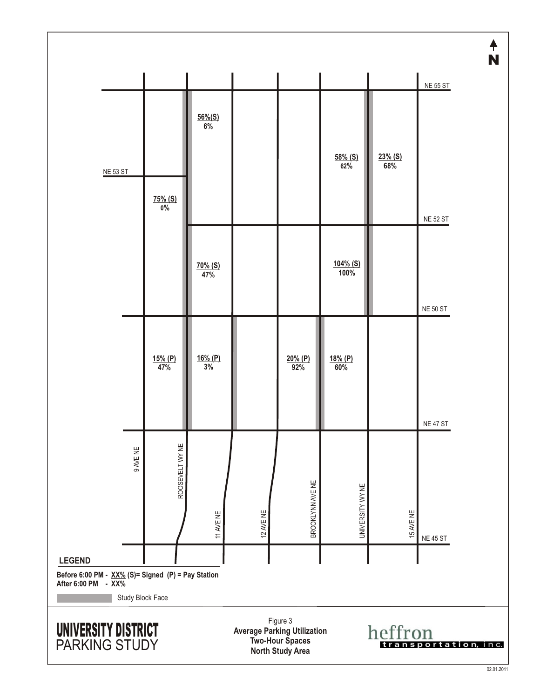![](_page_7_Figure_0.jpeg)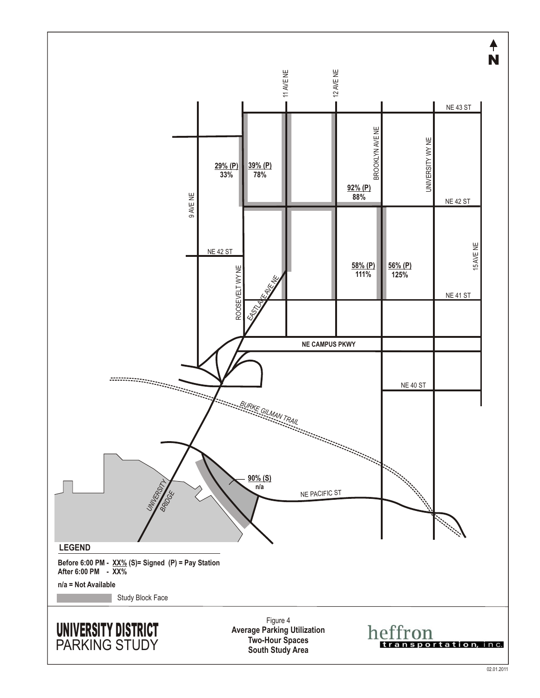![](_page_8_Figure_0.jpeg)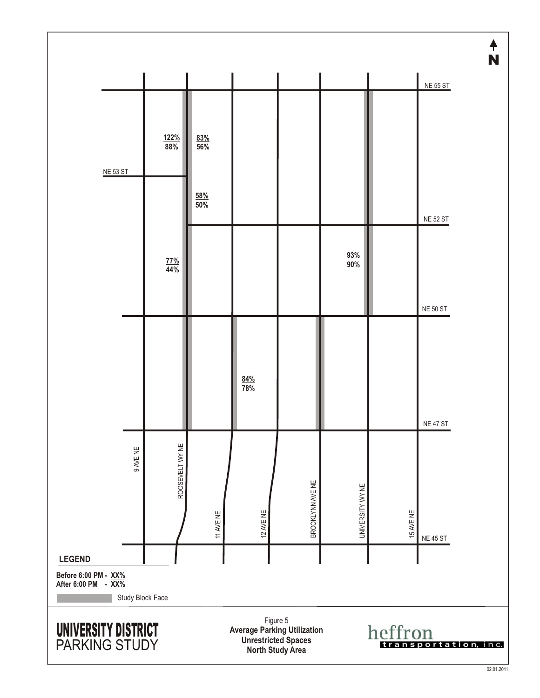![](_page_9_Figure_0.jpeg)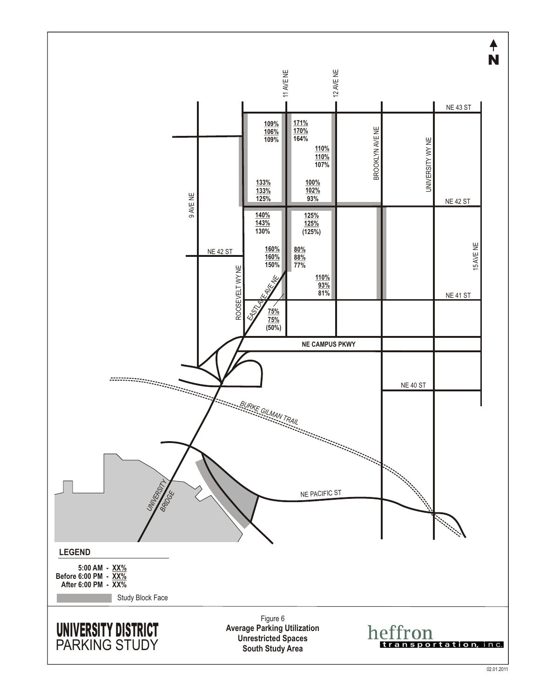![](_page_10_Figure_0.jpeg)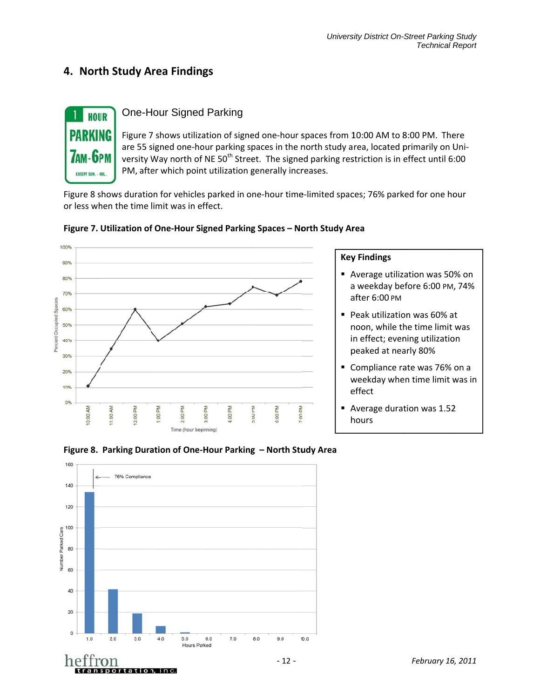## 4. North Study Area Findings

![](_page_11_Picture_2.jpeg)

### **One-Hour Signed Parking**

Figure 7 shows utilization of signed one-hour spaces from 10:00 AM to 8:00 PM. There are 55 signed one-hour parking spaces in the north study area, located primarily on University Way north of NE 50<sup>th</sup> Street. The signed parking restriction is in effect until 6:00 PM, after which point utilization generally increases.

Figure 8 shows duration for vehicles parked in one-hour time-limited spaces; 76% parked for one hour or less when the time limit was in effect.

![](_page_11_Figure_6.jpeg)

#### Figure 7. Utilization of One-Hour Signed Parking Spaces - North Study Area

#### **Key Findings**

- Average utilization was 50% on a weekday before 6:00 PM, 74% after 6:00 PM
- Peak utilization was 60% at noon, while the time limit was in effect; evening utilization peaked at nearly 80%
- Compliance rate was 76% on a weekday when time limit was in effect
- Average duration was 1.52 hours

![](_page_11_Figure_13.jpeg)

transportation, inc.

#### Figure 8. Parking Duration of One-Hour Parking - North Study Area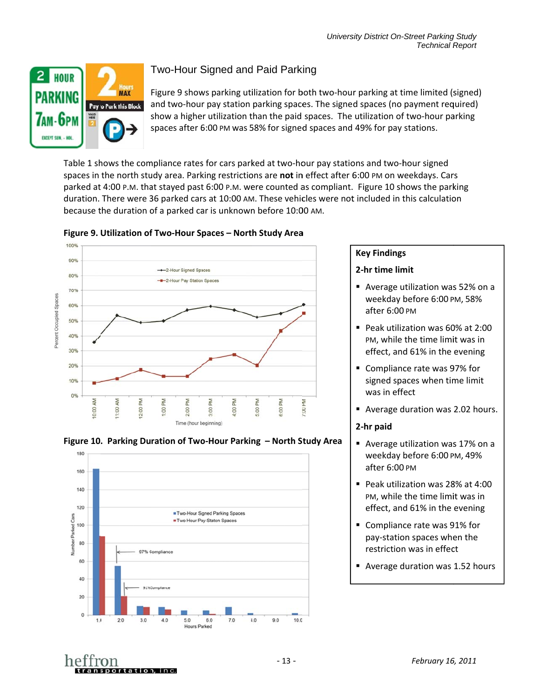![](_page_12_Picture_1.jpeg)

# Two-Hour Signed and Paid Parking

and two-hour pay station parking spaces. The signed spaces (no payment required) show a higher utilization than the paid spaces. The utilization of two-hour parking s spaces after 6 6:00 PM was 5 58% for signed d spaces and 49% for pay stations. Figure 9 shows parking utilization for both two-hour parking at time limited (signed)

Table 1 shows the compliance rates for cars parked at two-hour pay stations and two-hour signed spaces in the north study area. Parking restrictions are not in effect after 6:00 PM on weekdays. Cars parked at 4:00 P.M. that stayed past 6:00 P.M. were counted as compliant. Figure 10 shows the parking duration. There were 36 parked cars at 10:00 AM. These vehicles were not included in this calculation because the duration of a parked car is unknown before 10:00 AM.

![](_page_12_Figure_5.jpeg)

#### Figure 9. Utilization of Two-Hour Spaces – North Study Area

![](_page_12_Figure_7.jpeg)

#### **Key Findings s**

#### **2-hr time lim mit**

- Average utilization was 52% on a weekday before 6:00 PM, 58% after 6:00 0 PM
- Peak utilization was 60% at 2:00 PM, while the time limit was in effect, and 61% in the evening
- Compliance rate was 97% for signed spaces when time limit was in eff fect
- Average duration was 2.02 hours.

#### **2-hr paid**

- Average utilization was 17% on a weekday before 6:00 PM, 49% after 6:00 0 PM
- Peak utilization was 28% at 4:00 PM, while the time limit was in effect, and 61% in the evening
- Compliance rate was 91% for pay-station spaces when the restriction was in effect
- Average duration was 1.52 hours

![](_page_12_Picture_19.jpeg)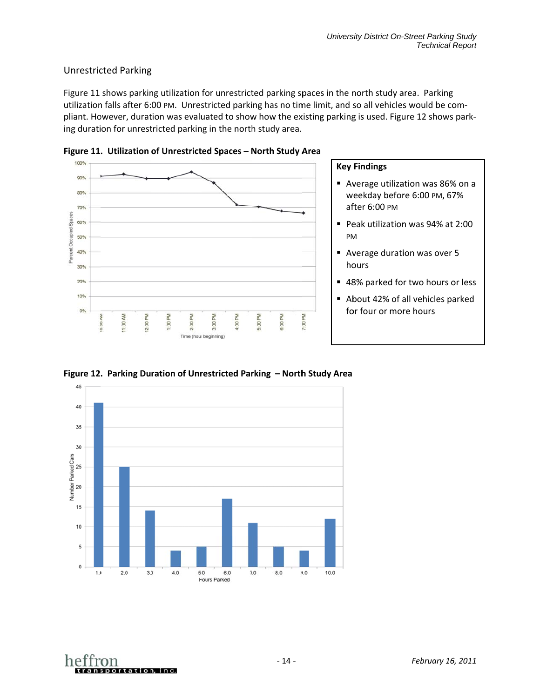#### Unrestricted Parking

Figure 11 shows parking utilization for unrestricted parking spaces in the north study area. Parking utilization falls after 6:00 PM. Unrestricted parking has no time limit, and so all vehicles would be compliant. However, duration was evaluated to show how the existing parking is used. Figure 12 shows parking duration for unrestricted parking in the north study area.

![](_page_13_Figure_3.jpeg)

**Figure 11 . Utilization of Unrestrict ed Spaces – N North Study A Area** 

![](_page_13_Figure_5.jpeg)

Figure 12. Parking Duration of Unrestricted Parking – North Study Area

![](_page_13_Picture_7.jpeg)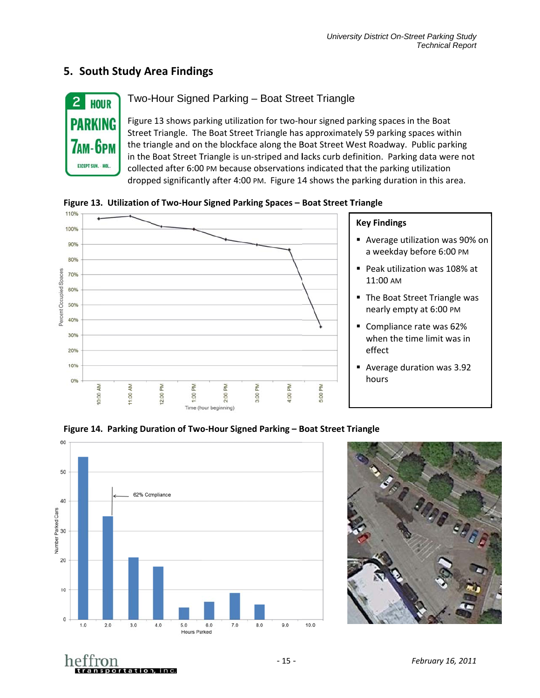# **5. South Study Area Findings**

![](_page_14_Picture_2.jpeg)

#### Two-Hour Signed Parking – Boat Street Triangle

Figure 13 shows parking utilization for two-hour signed parking spaces in the Boat Street Triangle. The Boat Street Triangle has approximately 59 parking spaces within the triangle and on the blockface along the Boat Street West Roadway. Public parking in the Boat Street Triangle is un-striped and lacks curb definition. Parking data were not collected after 6:00 PM because observations indicated that the parking utilization dropped significantly after 4:00 PM. Figure 14 shows the parking duration in this area.

Figure 13. Utilization of Two-Hour Signed Parking Spaces - Boat Street Triangle

![](_page_14_Figure_6.jpeg)

![](_page_14_Figure_7.jpeg)

![](_page_14_Picture_8.jpeg)

Figure 14. Parking Duration of Two-Hour Signed Parking – Boat Street Triangle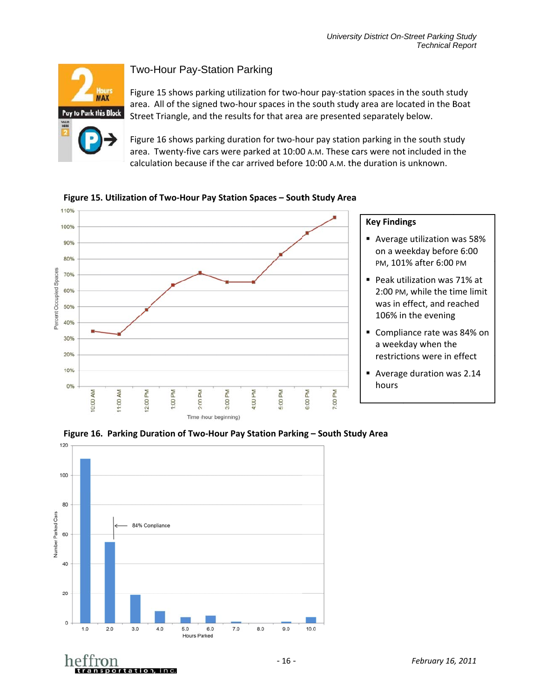![](_page_15_Picture_1.jpeg)

### Two-Hour Pay-Station Parking

Figure 15 shows parking utilization for two-hour pay-station spaces in the south study area. All of the signed two-hour spaces in the south study area are located in the Boat Street Triangle, and the results for that area are presented separately below.

Figure 16 shows parking duration for two-hour pay station parking in the south study area. Twenty-five cars were parked at 10:00 A.M. These cars were not included in the calculation because if the car arrived before 10:00 A.M. the duration is unknown.

![](_page_15_Figure_5.jpeg)

Figure 15. Utilization of Two-Hour Pay Station Spaces – South Study Area

![](_page_15_Figure_7.jpeg)

Figure 16. Parking Duration of Two-Hour Pay Station Parking – South Stu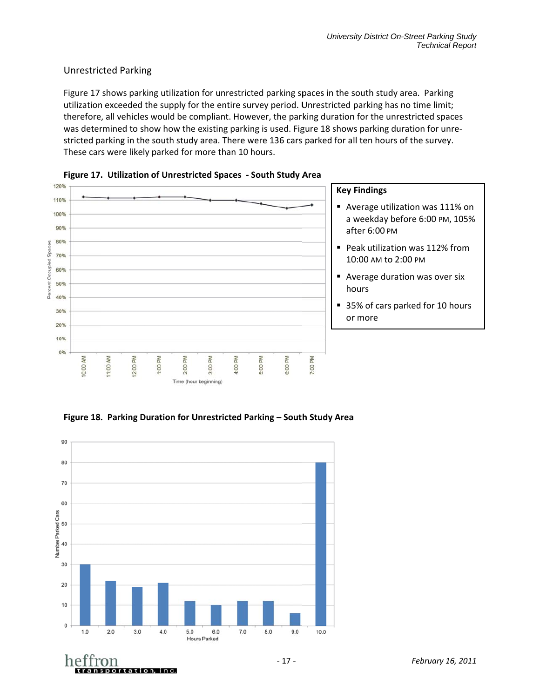### Unrestricted Parking

Unrestricted Parking<br>Figure 17 shows parking utilization for unrestricted parking spaces in the south study area. Parking utilization exceeded the supply for the entire survey period. Unrestricted parking has no time limit; therefore, all vehicles would be compliant. However, the parking duration for the unrestricted spaces was determined to show how the existing parking is used. Figure 18 shows parking duration for unrestricted parking in the south study area. There were 136 cars parked for all ten hours of the survey. These cars were likely parked for more than 10 hours.

![](_page_16_Figure_3.jpeg)

![](_page_16_Figure_4.jpeg)

#### Figure 18. Parking Duration for Unrestricted Parking – South Study Area

![](_page_16_Figure_6.jpeg)

ettron

transportation, inc.